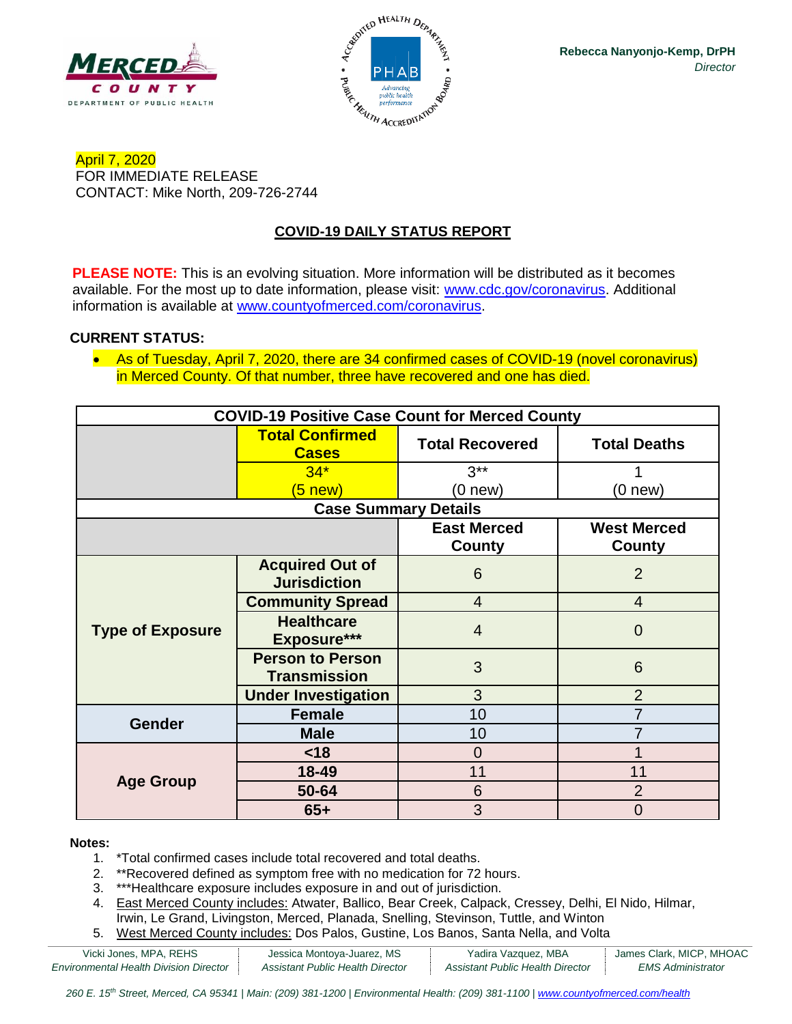



April 7, 2020 FOR IMMEDIATE RELEASE CONTACT: Mike North, 209-726-2744

# **COVID-19 DAILY STATUS REPORT**

**PLEASE NOTE:** This is an evolving situation. More information will be distributed as it becomes available. For the most up to date information, please visit: [www.cdc.gov/coronavirus.](http://www.cdc.gov/coronavirus) Additional information is available at [www.countyofmerced.com/coronavirus.](http://www.countyofmerced.com/coronavirus)

#### **CURRENT STATUS:**

• As of Tuesday, April 7, 2020, there are 34 confirmed cases of COVID-19 (novel coronavirus) in Merced County. Of that number, three have recovered and one has died.

| <b>COVID-19 Positive Case Count for Merced County</b> |                                                |                        |                     |  |  |
|-------------------------------------------------------|------------------------------------------------|------------------------|---------------------|--|--|
|                                                       | <b>Total Confirmed</b><br><b>Cases</b>         | <b>Total Recovered</b> | <b>Total Deaths</b> |  |  |
|                                                       | $34*$                                          | $3***$                 |                     |  |  |
|                                                       | $(5 \nvert new)$                               | $(0$ new $)$           | (0 new)             |  |  |
| <b>Case Summary Details</b>                           |                                                |                        |                     |  |  |
|                                                       |                                                | <b>East Merced</b>     | <b>West Merced</b>  |  |  |
|                                                       |                                                | County                 | <b>County</b>       |  |  |
| <b>Type of Exposure</b>                               | <b>Acquired Out of</b><br><b>Jurisdiction</b>  | 6                      | $\overline{2}$      |  |  |
|                                                       | <b>Community Spread</b>                        | $\overline{4}$         | $\overline{4}$      |  |  |
|                                                       | <b>Healthcare</b><br>Exposure***               | $\overline{4}$         | 0                   |  |  |
|                                                       | <b>Person to Person</b><br><b>Transmission</b> | 3                      | 6                   |  |  |
|                                                       | <b>Under Investigation</b>                     | 3                      | $\overline{2}$      |  |  |
| <b>Gender</b>                                         | <b>Female</b>                                  | 10                     | 7                   |  |  |
|                                                       | <b>Male</b>                                    | 10                     |                     |  |  |
| <b>Age Group</b>                                      | <18                                            | $\overline{0}$         |                     |  |  |
|                                                       | $18 - 49$                                      | 11                     | 11                  |  |  |
|                                                       | 50-64                                          | 6                      | $\overline{2}$      |  |  |
|                                                       | $65+$                                          | 3                      | 0                   |  |  |

#### **Notes:**

- 1. \*Total confirmed cases include total recovered and total deaths.
- 2. \*\*Recovered defined as symptom free with no medication for 72 hours.
- 3. \*\*\*Healthcare exposure includes exposure in and out of jurisdiction.
- 4. East Merced County includes: Atwater, Ballico, Bear Creek, Calpack, Cressey, Delhi, El Nido, Hilmar, Irwin, Le Grand, Livingston, Merced, Planada, Snelling, Stevinson, Tuttle, and Winton
- 5. West Merced County includes: Dos Palos, Gustine, Los Banos, Santa Nella, and Volta

| Vicki Jones, MPA, REHS                        | Jessica Montoya-Juarez, MS       | Yadira Vazquez, MBA              | James Clark, MICP, MHOAC |
|-----------------------------------------------|----------------------------------|----------------------------------|--------------------------|
| <b>Environmental Health Division Director</b> | Assistant Public Health Director | Assistant Public Health Director | EMS Administrator        |

*260 E. 15th Street, Merced, CA 95341 | Main: (209) 381-1200 | Environmental Health: (209) 381-1100* | *[www.countyofmerced.com/health](http://www.countyofmerced.com/health)*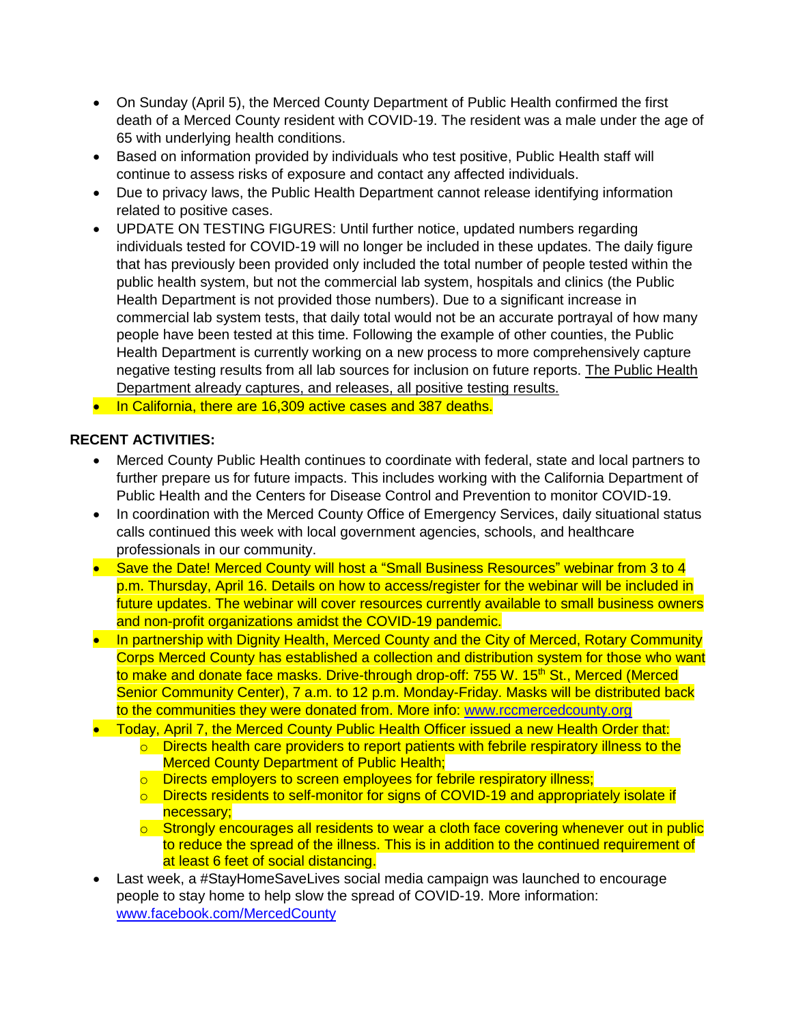- On Sunday (April 5), the Merced County Department of Public Health confirmed the first death of a Merced County resident with COVID-19. The resident was a male under the age of 65 with underlying health conditions.
- Based on information provided by individuals who test positive, Public Health staff will continue to assess risks of exposure and contact any affected individuals.
- Due to privacy laws, the Public Health Department cannot release identifying information related to positive cases.
- UPDATE ON TESTING FIGURES: Until further notice, updated numbers regarding individuals tested for COVID-19 will no longer be included in these updates. The daily figure that has previously been provided only included the total number of people tested within the public health system, but not the commercial lab system, hospitals and clinics (the Public Health Department is not provided those numbers). Due to a significant increase in commercial lab system tests, that daily total would not be an accurate portrayal of how many people have been tested at this time. Following the example of other counties, the Public Health Department is currently working on a new process to more comprehensively capture negative testing results from all lab sources for inclusion on future reports. The Public Health Department already captures, and releases, all positive testing results.
- In California, there are 16,309 active cases and 387 deaths.

### **RECENT ACTIVITIES:**

- Merced County Public Health continues to coordinate with federal, state and local partners to further prepare us for future impacts. This includes working with the California Department of Public Health and the Centers for Disease Control and Prevention to monitor COVID-19.
- In coordination with the Merced County Office of Emergency Services, daily situational status calls continued this week with local government agencies, schools, and healthcare professionals in our community.
- Save the Date! Merced County will host a "Small Business Resources" webinar from 3 to 4 p.m. Thursday, April 16. Details on how to access/register for the webinar will be included in future updates. The webinar will cover resources currently available to small business owners and non-profit organizations amidst the COVID-19 pandemic.
- In partnership with Dignity Health, Merced County and the City of Merced, Rotary Community Corps Merced County has established a collection and distribution system for those who want to make and donate face masks. Drive-through drop-off: 755 W. 15<sup>th</sup> St., Merced (Merced Senior Community Center), 7 a.m. to 12 p.m. Monday-Friday. Masks will be distributed back to the communities they were donated from. More info: [www.rccmercedcounty.org](http://www.rccmercedcounty.org/)
- Today, April 7, the Merced County Public Health Officer issued a new Health Order that:
	- $\circ$  Directs health care providers to report patients with febrile respiratory illness to the **Merced County Department of Public Health;**
	- o Directs employers to screen employees for febrile respiratory illness;
	- o Directs residents to self-monitor for signs of COVID-19 and appropriately isolate if necessary;
	- $\circ$  Strongly encourages all residents to wear a cloth face covering whenever out in public to reduce the spread of the illness. This is in addition to the continued requirement of at least 6 feet of social distancing.
- Last week, a #StayHomeSaveLives social media campaign was launched to encourage people to stay home to help slow the spread of COVID-19. More information: [www.facebook.com/MercedCounty](http://www.facebook.com/MercedCounty)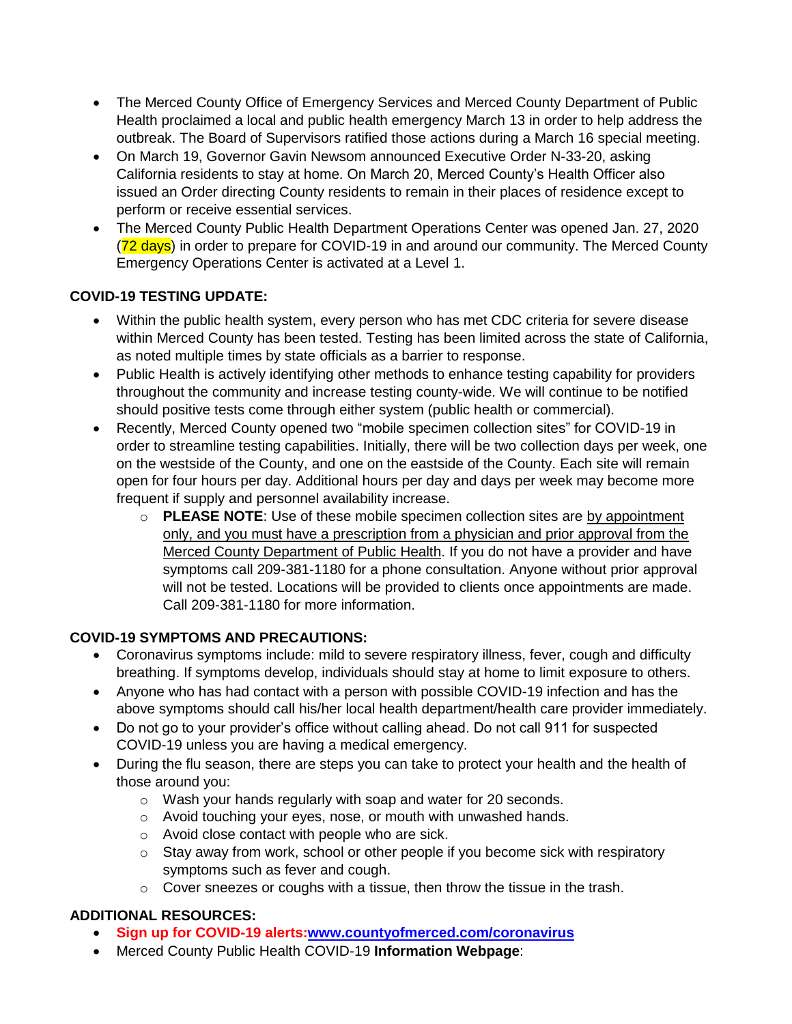- The Merced County Office of Emergency Services and Merced County Department of Public Health proclaimed a local and public health emergency March 13 in order to help address the outbreak. The Board of Supervisors ratified those actions during a March 16 special meeting.
- On March 19, Governor Gavin Newsom announced Executive Order N-33-20, asking California residents to stay at home. On March 20, Merced County's Health Officer also issued an Order directing County residents to remain in their places of residence except to perform or receive essential services.
- The Merced County Public Health Department Operations Center was opened Jan. 27, 2020 (72 days) in order to prepare for COVID-19 in and around our community. The Merced County Emergency Operations Center is activated at a Level 1.

## **COVID-19 TESTING UPDATE:**

- Within the public health system, every person who has met CDC criteria for severe disease within Merced County has been tested. Testing has been limited across the state of California, as noted multiple times by state officials as a barrier to response.
- Public Health is actively identifying other methods to enhance testing capability for providers throughout the community and increase testing county-wide. We will continue to be notified should positive tests come through either system (public health or commercial).
- Recently, Merced County opened two "mobile specimen collection sites" for COVID-19 in order to streamline testing capabilities. Initially, there will be two collection days per week, one on the westside of the County, and one on the eastside of the County. Each site will remain open for four hours per day. Additional hours per day and days per week may become more frequent if supply and personnel availability increase.
	- o **PLEASE NOTE**: Use of these mobile specimen collection sites are by appointment only, and you must have a prescription from a physician and prior approval from the Merced County Department of Public Health. If you do not have a provider and have symptoms call 209-381-1180 for a phone consultation. Anyone without prior approval will not be tested. Locations will be provided to clients once appointments are made. Call 209-381-1180 for more information.

### **COVID-19 SYMPTOMS AND PRECAUTIONS:**

- Coronavirus symptoms include: mild to severe respiratory illness, fever, cough and difficulty breathing. If symptoms develop, individuals should stay at home to limit exposure to others.
- Anyone who has had contact with a person with possible COVID-19 infection and has the above symptoms should call his/her local health department/health care provider immediately.
- Do not go to your provider's office without calling ahead. Do not call 911 for suspected COVID-19 unless you are having a medical emergency.
- During the flu season, there are steps you can take to protect your health and the health of those around you:
	- o Wash your hands regularly with soap and water for 20 seconds.
	- o Avoid touching your eyes, nose, or mouth with unwashed hands.
	- o Avoid close contact with people who are sick.
	- $\circ$  Stay away from work, school or other people if you become sick with respiratory symptoms such as fever and cough.
	- o Cover sneezes or coughs with a tissue, then throw the tissue in the trash.

# **ADDITIONAL RESOURCES:**

- **Sign up for COVID-19 alerts[:www.countyofmerced.com/coronavirus](http://www.countyofmerced.com/coronavirus)**
- Merced County Public Health COVID-19 **Information Webpage**: